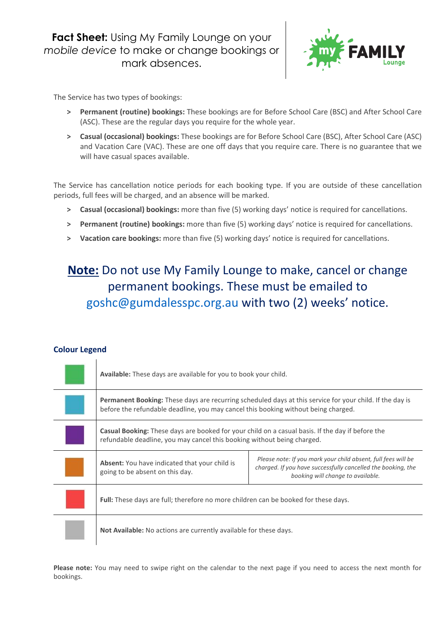**Fact Sheet:** Using My Family Lounge on your *mobile device* to make or change bookings or mark absences.



The Service has two types of bookings:

- **> Permanent (routine) bookings:** These bookings are for Before School Care (BSC) and After School Care (ASC). These are the regular days you require for the whole year.
- **> Casual (occasional) bookings:** These bookings are for Before School Care (BSC), After School Care (ASC) and Vacation Care (VAC). These are one off days that you require care. There is no guarantee that we will have casual spaces available.

The Service has cancellation notice periods for each booking type. If you are outside of these cancellation periods, full fees will be charged, and an absence will be marked.

- **> Casual (occasional) bookings:** more than five (5) working days' notice is required for cancellations.
- **> Permanent (routine) bookings:** more than five (5) working days' notice is required for cancellations.
- **> Vacation care bookings:** more than five (5) working days' notice is required for cancellations.

### **Note:** Do not use My Family Lounge to make, cancel or change permanent bookings. These must be emailed to [goshc@gumdalesspc.org.au](mailto:goshc@gumdalesspc.org.au) with two (2) weeks' notice.

#### **Colour Legend**

| Available: These days are available for you to book your child.                                                                                                                                       |                                                                                                                                                                    |  |  |  |
|-------------------------------------------------------------------------------------------------------------------------------------------------------------------------------------------------------|--------------------------------------------------------------------------------------------------------------------------------------------------------------------|--|--|--|
| <b>Permanent Booking:</b> These days are recurring scheduled days at this service for your child. If the day is<br>before the refundable deadline, you may cancel this booking without being charged. |                                                                                                                                                                    |  |  |  |
| <b>Casual Booking:</b> These days are booked for your child on a casual basis. If the day if before the<br>refundable deadline, you may cancel this booking without being charged.                    |                                                                                                                                                                    |  |  |  |
| <b>Absent:</b> You have indicated that your child is<br>going to be absent on this day.                                                                                                               | Please note: If you mark your child absent, full fees will be<br>charged. If you have successfully cancelled the booking, the<br>booking will change to available. |  |  |  |
| Full: These days are full; therefore no more children can be booked for these days.                                                                                                                   |                                                                                                                                                                    |  |  |  |
| <b>Not Available:</b> No actions are currently available for these days.                                                                                                                              |                                                                                                                                                                    |  |  |  |

**Please note:** You may need to swipe right on the calendar to the next page if you need to access the next month for bookings.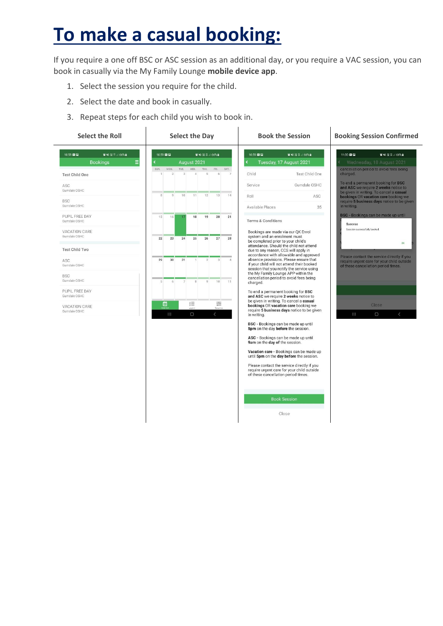## **To make a casual booking:**

If you require a one off BSC or ASC session as an additional day, or you require a VAC session, you can book in casually via the My Family Lounge **mobile device app**.

- 1. Select the session you require for the child.
- 2. Select the date and book in casually.
- 3. Repeat steps for each child you wish to book in.

| <b>Select the Roll</b>                                                             | <b>Select the Day</b>                                                                                          | <b>Book the Session</b>                                                                                                                                                                                                                                                                                                                     | <b>Booking Session Confirmed</b>                                                                                                                                                                                           |
|------------------------------------------------------------------------------------|----------------------------------------------------------------------------------------------------------------|---------------------------------------------------------------------------------------------------------------------------------------------------------------------------------------------------------------------------------------------------------------------------------------------------------------------------------------------|----------------------------------------------------------------------------------------------------------------------------------------------------------------------------------------------------------------------------|
| 10:58 22 52<br><b>算当</b> 提集.166%■<br>Ξ<br><b>Bookings</b><br><b>Test Child One</b> | 10:59 22 22<br><b>質NH</b> 提算。 66%■<br>ċ<br>August 2021<br>MON.<br>TUE.<br>WED.<br>THU.<br>FRI.<br>SAT.<br>SUN. | 10:59 22 22<br><b>算当</b> 提算。166%■<br>Tuesday, 17 August 2021<br>८<br>Child<br>Test Child One                                                                                                                                                                                                                                                | 11:00:22:22<br><b>質報提算.166%</b><br>Wednesday, 18 August 2021<br>cancellation period to avoid tees being<br>charged.                                                                                                        |
| ASC.<br>Gumdale OSHC<br><b>BSC</b><br>Gumdale OSHC                                 | 13<br>14<br>8<br>g<br>10<br>11<br>12                                                                           | Service<br>Gumdale OSHC<br>ASC<br>Roll                                                                                                                                                                                                                                                                                                      | To end a permanent booking for BSC<br>and ASC we require 2 weeks notice to<br>be given in writing. To cancel a casual<br>bookings OR vacation care booking we<br>require 5 business days notice to be given<br>in writing. |
| PUPIL FREE DAY<br>Gumdale OSHC<br>VACATION CARE<br>Gumdale OSHC                    | 16<br>19<br>20<br>21<br>15<br>18<br>76<br>23<br>26<br>27<br>28<br>22<br>24<br>25                               | Available Places<br>35<br><b>Terms &amp; Conditions</b><br>Bookings are made via our QK Enrol<br>system and an enrolment must                                                                                                                                                                                                               | BSC - Bookings can be made up until<br>Success<br>Session successfully booked.<br>OK<br>Please contact the service directly if you<br>require urgent care for your child outside<br>of these cancellation period times.    |
| <b>Test Child Two</b><br>ASC<br>Gumdale OSHC                                       | 29<br>30<br>31<br>$\mathcal{P}$<br>3<br>$\Delta$                                                               | be completed prior to your child's<br>attendance. Should the child not attend<br>due to any reason, CCS will apply in<br>accordance with allowable and approved<br>absence provisions. Please ensure that<br>if your child will not attend their booked<br>session that you notify the service using<br>the My Family Lounge APP within the |                                                                                                                                                                                                                            |
| <b>BSC</b><br>Gumdale OSHC<br>PUPIL FREE DAY<br>Gumdale OSHC<br>VACATION CARE      | 5<br>6<br>8<br>Q<br>10<br>11<br>≘<br>õ<br>這                                                                    | cancellation period to avoid fees being<br>charged.<br>To end a permanent booking for BSC<br>and ASC we require 2 weeks notice to<br>be given in writing. To cancel a casual<br>bookings OR vacation care booking we<br>require 5 business days notice to be given                                                                          | Close                                                                                                                                                                                                                      |
| Gumdale OSHC                                                                       | III<br>$\cup$<br>$\langle$                                                                                     | in writing.<br>BSC - Bookings can be made up until<br>5pm on the day before the session.<br>ASC - Bookings can be made up until<br>9am on the day of the session.                                                                                                                                                                           | $\cup$<br>$\langle$<br>$\mathbb{1}$                                                                                                                                                                                        |
|                                                                                    |                                                                                                                | Vacation care - Bookings can be made up<br>until 5pm on the day before the session.<br>Please contact the service directly if you<br>require urgent care for your child outside<br>of these cancellation period times.                                                                                                                      |                                                                                                                                                                                                                            |
|                                                                                    |                                                                                                                | <b>Book Session</b><br>Close                                                                                                                                                                                                                                                                                                                |                                                                                                                                                                                                                            |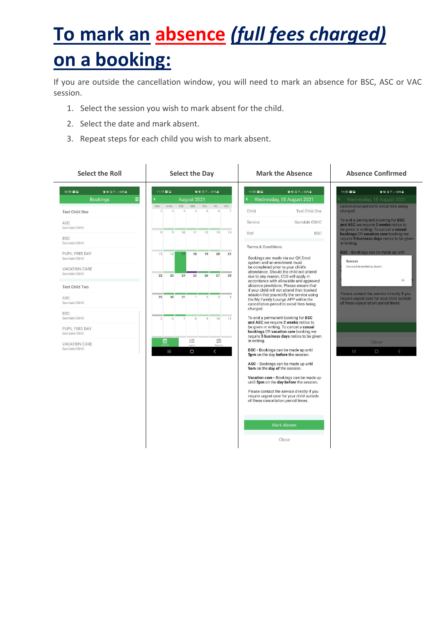# **To mark an absence** *(full fees charged)* **on a booking:**

If you are outside the cancellation window, you will need to mark an absence for BSC, ASC or VAC session.

- 1. Select the session you wish to mark absent for the child.
- 2. Select the date and mark absent.
- 3. Repeat steps for each child you wish to mark absent.